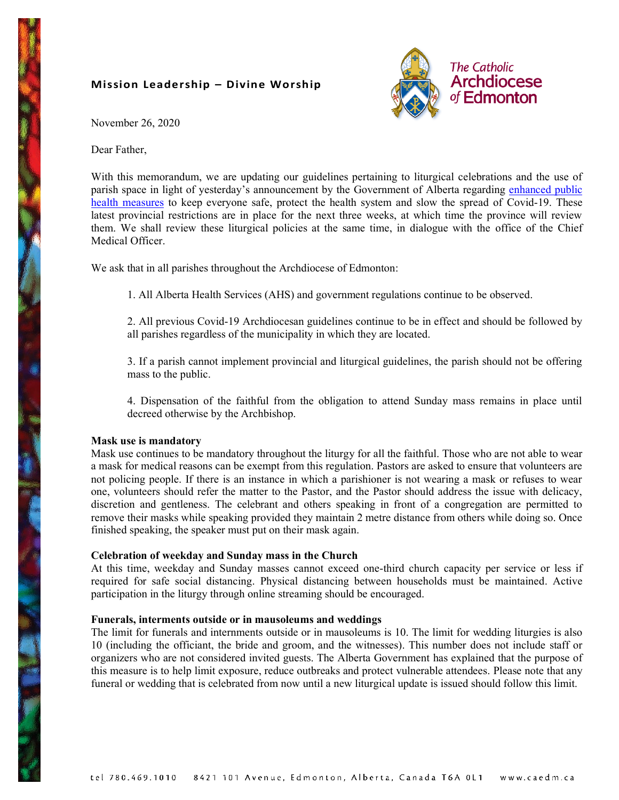# **Mission Leadership – Divine Worship**



November 26, 2020

Dear Father,

With this memorandum, we are updating our guidelines pertaining to liturgical celebrations and the use of parish space in light of yesterday's announcement by the Government of Alberta regarding enhanced public [health measures](https://www.alberta.ca/enhanced-public-health-measures.aspx) to keep everyone safe, protect the health system and slow the spread of Covid-19. These latest provincial restrictions are in place for the next three weeks, at which time the province will review them. We shall review these liturgical policies at the same time, in dialogue with the office of the Chief Medical Officer.

We ask that in all parishes throughout the Archdiocese of Edmonton:

1. All Alberta Health Services (AHS) and government regulations continue to be observed.

2. All previous Covid-19 Archdiocesan guidelines continue to be in effect and should be followed by all parishes regardless of the municipality in which they are located.

3. If a parish cannot implement provincial and liturgical guidelines, the parish should not be offering mass to the public.

4. Dispensation of the faithful from the obligation to attend Sunday mass remains in place until decreed otherwise by the Archbishop.

# **Mask use is mandatory**

Mask use continues to be mandatory throughout the liturgy for all the faithful. Those who are not able to wear a mask for medical reasons can be exempt from this regulation. Pastors are asked to ensure that volunteers are not policing people. If there is an instance in which a parishioner is not wearing a mask or refuses to wear one, volunteers should refer the matter to the Pastor, and the Pastor should address the issue with delicacy, discretion and gentleness. The celebrant and others speaking in front of a congregation are permitted to remove their masks while speaking provided they maintain 2 metre distance from others while doing so. Once finished speaking, the speaker must put on their mask again.

# **Celebration of weekday and Sunday mass in the Church**

At this time, weekday and Sunday masses cannot exceed one-third church capacity per service or less if required for safe social distancing. Physical distancing between households must be maintained. Active participation in the liturgy through online streaming should be encouraged.

# **Funerals, interments outside or in mausoleums and weddings**

The limit for funerals and internments outside or in mausoleums is 10. The limit for wedding liturgies is also 10 (including the officiant, the bride and groom, and the witnesses). This number does not include staff or organizers who are not considered invited guests. The Alberta Government has explained that the purpose of this measure is to help limit exposure, reduce outbreaks and protect vulnerable attendees. Please note that any funeral or wedding that is celebrated from now until a new liturgical update is issued should follow this limit.